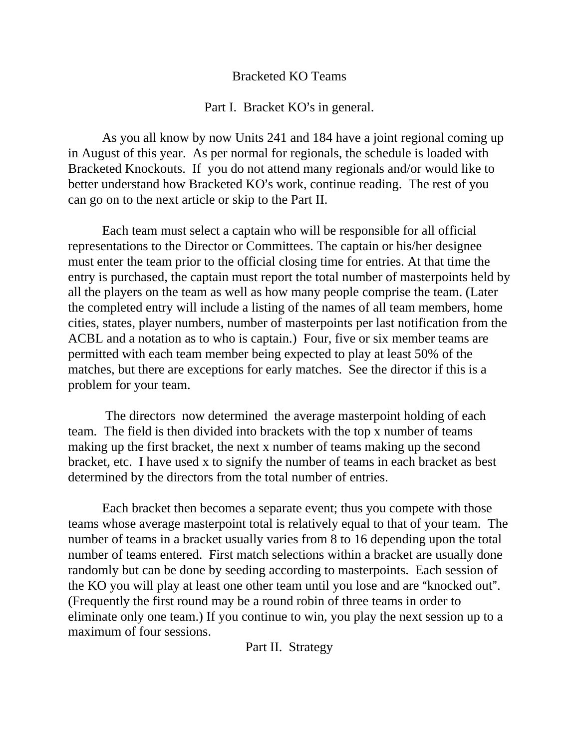## Bracketed KO Teams

## Part I. Bracket KO's in general.

As you all know by now Units 241 and 184 have a joint regional coming up in August of this year. As per normal for regionals, the schedule is loaded with Bracketed Knockouts. If you do not attend many regionals and/or would like to better understand how Bracketed KO's work, continue reading. The rest of you can go on to the next article or skip to the Part II.

Each team must select a captain who will be responsible for all official representations to the Director or Committees. The captain or his/her designee must enter the team prior to the official closing time for entries. At that time the entry is purchased, the captain must report the total number of masterpoints held by all the players on the team as well as how many people comprise the team. (Later the completed entry will include a listing of the names of all team members, home cities, states, player numbers, number of masterpoints per last notification from the ACBL and a notation as to who is captain.) Four, five or six member teams are permitted with each team member being expected to play at least 50% of the matches, but there are exceptions for early matches. See the director if this is a problem for your team.

 The directors now determined the average masterpoint holding of each team. The field is then divided into brackets with the top x number of teams making up the first bracket, the next x number of teams making up the second bracket, etc. I have used x to signify the number of teams in each bracket as best determined by the directors from the total number of entries.

Each bracket then becomes a separate event; thus you compete with those teams whose average masterpoint total is relatively equal to that of your team. The number of teams in a bracket usually varies from 8 to 16 depending upon the total number of teams entered. First match selections within a bracket are usually done randomly but can be done by seeding according to masterpoints. Each session of the KO you will play at least one other team until you lose and are "knocked out". (Frequently the first round may be a round robin of three teams in order to eliminate only one team.) If you continue to win, you play the next session up to a maximum of four sessions.

Part II. Strategy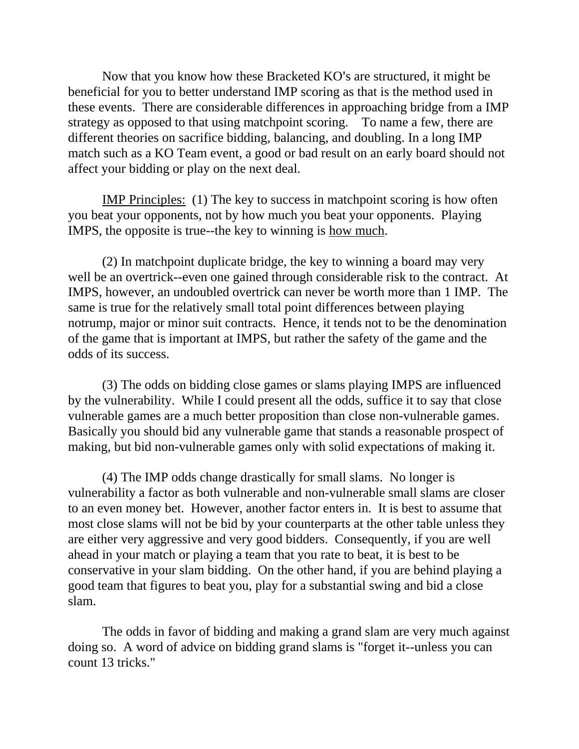Now that you know how these Bracketed KO's are structured, it might be beneficial for you to better understand IMP scoring as that is the method used in these events. There are considerable differences in approaching bridge from a IMP strategy as opposed to that using matchpoint scoring. To name a few, there are different theories on sacrifice bidding, balancing, and doubling. In a long IMP match such as a KO Team event, a good or bad result on an early board should not affect your bidding or play on the next deal.

IMP Principles: (1) The key to success in matchpoint scoring is how often you beat your opponents, not by how much you beat your opponents. Playing IMPS, the opposite is true--the key to winning is how much.

(2) In matchpoint duplicate bridge, the key to winning a board may very well be an overtrick--even one gained through considerable risk to the contract. At IMPS, however, an undoubled overtrick can never be worth more than 1 IMP. The same is true for the relatively small total point differences between playing notrump, major or minor suit contracts. Hence, it tends not to be the denomination of the game that is important at IMPS, but rather the safety of the game and the odds of its success.

(3) The odds on bidding close games or slams playing IMPS are influenced by the vulnerability. While I could present all the odds, suffice it to say that close vulnerable games are a much better proposition than close non-vulnerable games. Basically you should bid any vulnerable game that stands a reasonable prospect of making, but bid non-vulnerable games only with solid expectations of making it.

(4) The IMP odds change drastically for small slams. No longer is vulnerability a factor as both vulnerable and non-vulnerable small slams are closer to an even money bet. However, another factor enters in. It is best to assume that most close slams will not be bid by your counterparts at the other table unless they are either very aggressive and very good bidders. Consequently, if you are well ahead in your match or playing a team that you rate to beat, it is best to be conservative in your slam bidding. On the other hand, if you are behind playing a good team that figures to beat you, play for a substantial swing and bid a close slam.

The odds in favor of bidding and making a grand slam are very much against doing so. A word of advice on bidding grand slams is "forget it--unless you can count 13 tricks."